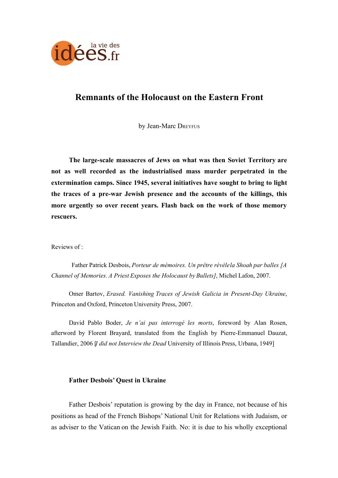

# **Remnants of the Holocaust on the Eastern Front**

by Jean-Marc DREYFUS

**The large-scale massacres of Jews on what was then Soviet Territory are not as well recorded as the industrialised mass murder perpetrated in the extermination camps. Since 1945, several initiatives have sought to bring to light the traces of a pre-war Jewish presence and the accounts of the killings, this more urgently so over recent years. Flash back on the work of those memory rescuers.**

Reviews of :

Father Patrick Desbois, *Porteur de mémoires. Un prêtre révèle la Shoah par balles [A Channel of Memories. A Priest Exposes the Holocaust by Bullets]*, Michel Lafon, 2007.

Omer Bartov, *Erased. Vanishing Traces of Jewish Galicia in Present-Day Ukraine*, Princeton and Oxford, Princeton University Press, 2007.

David Pablo Boder, *Je n'ai pas interrogé les morts*, foreword by Alan Rosen, afterword by Florent Brayard, translated from the English by Pierre-Emmanuel Dauzat, Tallandier, 2006 [*I did not Interview the Dead* University of Illinois Press, Urbana, 1949]

## **Father Desbois' Quest in Ukraine**

Father Desbois' reputation is growing by the day in France, not because of his positions as head of the French Bishops' National Unit for Relations with Judaism, or as adviser to the Vatican on the Jewish Faith. No: it is due to his wholly exceptional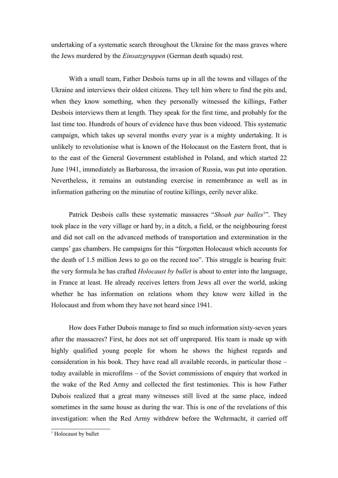undertaking of a systematic search throughout the Ukraine for the mass graves where the Jews murdered by the *Einsatzgruppen* (German death squads) rest.

With a small team, Father Desbois turns up in all the towns and villages of the Ukraine and interviews their oldest citizens. They tell him where to find the pits and, when they know something, when they personally witnessed the killings, Father Desbois interviews them at length. They speak for the first time, and probably for the last time too. Hundreds of hours of evidence have thus been videoed. This systematic campaign, which takes up several months every year is a mighty undertaking. It is unlikely to revolutionise what is known of the Holocaust on the Eastern front, that is to the east of the General Government established in Poland, and which started 22 June 1941, immediately as Barbarossa, the invasion of Russia, was put into operation. Nevertheless, it remains an outstanding exercise in remembrance as well as in information gathering on the minutiae of routine killings, eerily never alike.

Patrick Desbois calls these systematic massacres "Shoah par balles<sup>[1](#page-1-0)</sup>". They took place in the very village or hard by, in a ditch, a field, or the neighbouring forest and did not call on the advanced methods of transportation and extermination in the camps' gas chambers. He campaigns for this "forgotten Holocaust which accounts for the death of 1.5 million Jews to go on the record too". This struggle is bearing fruit: the very formula he has crafted *Holocaust by bullet* is about to enter into the language, in France at least. He already receives letters from Jews all over the world, asking whether he has information on relations whom they know were killed in the Holocaust and from whom they have not heard since 1941.

How does Father Dubois manage to find so much information sixty-seven years after the massacres? First, he does not set off unprepared. His team is made up with highly qualified young people for whom he shows the highest regards and consideration in his book. They have read all available records, in particular those – today available in microfilms – of the Soviet commissions of enquiry that worked in the wake of the Red Army and collected the first testimonies. This is how Father Dubois realized that a great many witnesses still lived at the same place, indeed sometimes in the same house as during the war. This is one of the revelations of this investigation: when the Red Army withdrew before the Wehrmacht, it carried off

<span id="page-1-0"></span><sup>&</sup>lt;sup>1</sup> Holocaust by bullet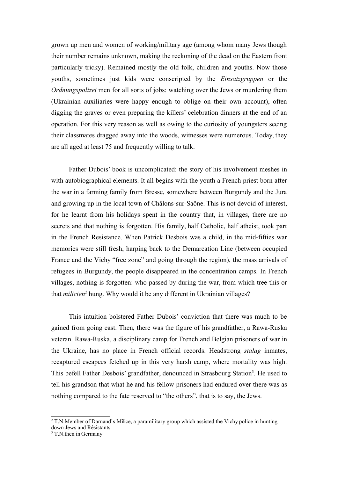grown up men and women of working/military age (among whom many Jews though their number remains unknown, making the reckoning of the dead on the Eastern front particularly tricky). Remained mostly the old folk, children and youths. Now those youths, sometimes just kids were conscripted by the *Einsatzgruppen* or the *Ordnungspolizei* men for all sorts of jobs: watching over the Jews or murdering them (Ukrainian auxiliaries were happy enough to oblige on their own account), often digging the graves or even preparing the killers' celebration dinners at the end of an operation. For this very reason as well as owing to the curiosity of youngsters seeing their classmates dragged away into the woods, witnesses were numerous. Today, they are all aged at least 75 and frequently willing to talk.

Father Dubois' book is uncomplicated: the story of his involvement meshes in with autobiographical elements. It all begins with the youth a French priest born after the war in a farming family from Bresse, somewhere between Burgundy and the Jura and growing up in the local town of Châlons-sur-Saône. This is not devoid of interest, for he learnt from his holidays spent in the country that, in villages, there are no secrets and that nothing is forgotten. His family, half Catholic, half atheist, took part in the French Resistance. When Patrick Desbois was a child, in the mid-fifties war memories were still fresh, harping back to the Demarcation Line (between occupied France and the Vichy "free zone" and going through the region), the mass arrivals of refugees in Burgundy, the people disappeared in the concentration camps. In French villages, nothing is forgotten: who passed by during the war, from which tree this or that *milicien*<sup>[2](#page-2-0)</sup> hung. Why would it be any different in Ukrainian villages?

This intuition bolstered Father Dubois' conviction that there was much to be gained from going east. Then, there was the figure of his grandfather, a Rawa-Ruska veteran. Rawa-Ruska, a disciplinary camp for French and Belgian prisoners of war in the Ukraine, has no place in French official records. Headstrong *stalag* inmates, recaptured escapees fetched up in this very harsh camp, where mortality was high. This befell Father Desbois' grandfather, denounced in Strasbourg Station<sup>[3](#page-2-1)</sup>. He used to tell his grandson that what he and his fellow prisoners had endured over there was as nothing compared to the fate reserved to "the others", that is to say, the Jews.

<span id="page-2-0"></span><sup>&</sup>lt;sup>2</sup> T.N.Member of Darnand's Milice, a paramilitary group which assisted the Vichy police in hunting down Jews and Résistants

<span id="page-2-1"></span><sup>&</sup>lt;sup>3</sup> T.N.then in Germany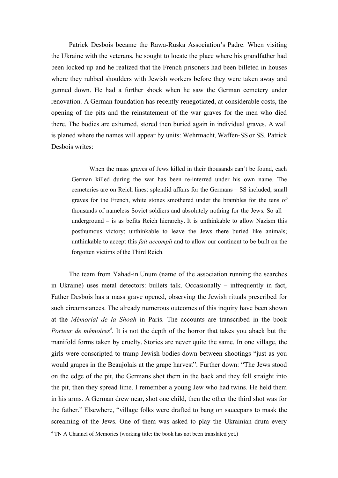Patrick Desbois became the Rawa-Ruska Association's Padre. When visiting the Ukraine with the veterans, he sought to locate the place where his grandfather had been locked up and he realized that the French prisoners had been billeted in houses where they rubbed shoulders with Jewish workers before they were taken away and gunned down. He had a further shock when he saw the German cemetery under renovation. A German foundation has recently renegotiated, at considerable costs, the opening of the pits and the reinstatement of the war graves for the men who died there. The bodies are exhumed, stored then buried again in individual graves. A wall is planed where the names will appear by units: Wehrmacht, Waffen-SS or SS. Patrick Desbois writes:

When the mass graves of Jews killed in their thousands can't be found, each German killed during the war has been re-interred under his own name. The cemeteries are on Reich lines: splendid affairs for the Germans – SS included, small graves for the French, white stones smothered under the brambles for the tens of thousands of nameless Soviet soldiers and absolutely nothing for the Jews. So all – underground – is as befits Reich hierarchy. It is unthinkable to allow Nazism this posthumous victory; unthinkable to leave the Jews there buried like animals; unthinkable to accept this *fait accompli* and to allow our continent to be built on the forgotten victims of the Third Reich.

The team from Yahad-in Unum (name of the association running the searches in Ukraine) uses metal detectors: bullets talk. Occasionally – infrequently in fact, Father Desbois has a mass grave opened, observing the Jewish rituals prescribed for such circumstances. The already numerous outcomes of this inquiry have been shown at the *Mémorial de la Shoah* in Paris. The accounts are transcribed in the book *Porteur de mémoires[4](#page-3-0) .* It is not the depth of the horror that takes you aback but the manifold forms taken by cruelty. Stories are never quite the same. In one village, the girls were conscripted to tramp Jewish bodies down between shootings "just as you would grapes in the Beaujolais at the grape harvest". Further down: "The Jews stood on the edge of the pit, the Germans shot them in the back and they fell straight into the pit, then they spread lime. I remember a young Jew who had twins. He held them in his arms. A German drew near, shot one child, then the other the third shot was for the father." Elsewhere, "village folks were drafted to bang on saucepans to mask the screaming of the Jews. One of them was asked to play the Ukrainian drum every

<span id="page-3-0"></span><sup>&</sup>lt;sup>4</sup> TN A Channel of Memories (working title: the book has not been translated yet.)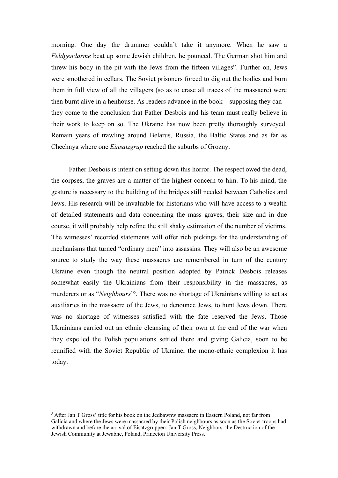morning. One day the drummer couldn't take it anymore. When he saw a *Feldgendarme* beat up some Jewish children, he pounced. The German shot him and threw his body in the pit with the Jews from the fifteen villages". Further on, Jews were smothered in cellars. The Soviet prisoners forced to dig out the bodies and burn them in full view of all the villagers (so as to erase all traces of the massacre) were then burnt alive in a henhouse. As readers advance in the book – supposing they can – they come to the conclusion that Father Desbois and his team must really believe in their work to keep on so. The Ukraine has now been pretty thoroughly surveyed. Remain years of trawling around Belarus, Russia, the Baltic States and as far as Chechnya where one *Einsatzgrup* reached the suburbs of Grozny.

Father Desbois is intent on setting down this horror. The respect owed the dead, the corpses, the graves are a matter of the highest concern to him. To his mind, the gesture is necessary to the building of the bridges still needed between Catholics and Jews. His research will be invaluable for historians who will have access to a wealth of detailed statements and data concerning the mass graves, their size and in due course, it will probably help refine the still shaky estimation of the number of victims. The witnesses' recorded statements will offer rich pickings for the understanding of mechanisms that turned "ordinary men" into assassins. They will also be an awesome source to study the way these massacres are remembered in turn of the century Ukraine even though the neutral position adopted by Patrick Desbois releases somewhat easily the Ukrainians from their responsibility in the massacres, as murderers or as "*Neighbours*" [5](#page-4-0) . There was no shortage of Ukrainians willing to act as auxiliaries in the massacre of the Jews, to denounce Jews, to hunt Jews down. There was no shortage of witnesses satisfied with the fate reserved the Jews. Those Ukrainians carried out an ethnic cleansing of their own at the end of the war when they expelled the Polish populations settled there and giving Galicia, soon to be reunified with the Soviet Republic of Ukraine, the mono-ethnic complexion it has today.

<span id="page-4-0"></span><sup>&</sup>lt;sup>5</sup> After Jan T Gross' title for his book on the Jedbawnw massacre in Eastern Poland, not far from Galicia and where the Jews were massacred by their Polish neighbours as soon as the Soviet troops had withdrawn and before the arrival of Eisatzgruppen: Jan T Gross, Neighbors: the Destruction of the Jewish Community at Jewabne, Poland, Princeton University Press.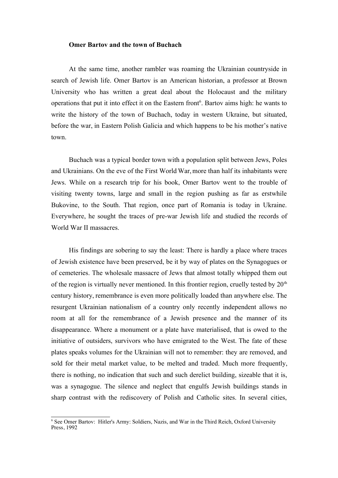#### **Omer Bartov and the town of Buchach**

At the same time, another rambler was roaming the Ukrainian countryside in search of Jewish life. Omer Bartov is an American historian, a professor at Brown University who has written a great deal about the Holocaust and the military operations that put it into effect it on the Eastern front<sup>[6](#page-5-0)</sup>. Bartov aims high: he wants to write the history of the town of Buchach, today in western Ukraine, but situated, before the war, in Eastern Polish Galicia and which happens to be his mother's native town.

Buchach was a typical border town with a population split between Jews, Poles and Ukrainians. On the eve of the First World War, more than half its inhabitants were Jews. While on a research trip for his book, Omer Bartov went to the trouble of visiting twenty towns, large and small in the region pushing as far as erstwhile Bukovine, to the South. That region, once part of Romania is today in Ukraine. Everywhere, he sought the traces of pre-war Jewish life and studied the records of World War II massacres.

His findings are sobering to say the least: There is hardly a place where traces of Jewish existence have been preserved, be it by way of plates on the Synagogues or of cemeteries. The wholesale massacre of Jews that almost totally whipped them out of the region is virtually never mentioned. In this frontier region, cruelly tested by  $20<sup>th</sup>$ century history, remembrance is even more politically loaded than anywhere else. The resurgent Ukrainian nationalism of a country only recently independent allows no room at all for the remembrance of a Jewish presence and the manner of its disappearance. Where a monument or a plate have materialised, that is owed to the initiative of outsiders, survivors who have emigrated to the West. The fate of these plates speaks volumes for the Ukrainian will not to remember: they are removed, and sold for their metal market value, to be melted and traded. Much more frequently, there is nothing, no indication that such and such derelict building, sizeable that it is, was a synagogue. The silence and neglect that engulfs Jewish buildings stands in sharp contrast with the rediscovery of Polish and Catholic sites. In several cities,

<span id="page-5-0"></span><sup>&</sup>lt;sup>6</sup> See Omer Bartov: Hitler's Army: Soldiers, Nazis, and War in the Third Reich, Oxford University Press, 1992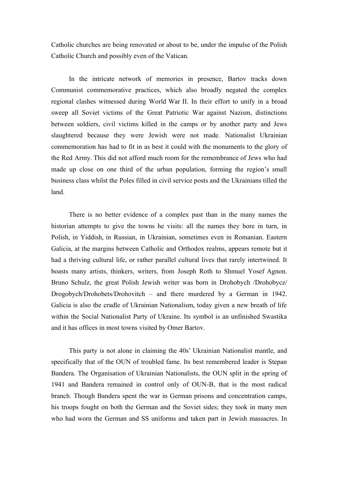Catholic churches are being renovated or about to be, under the impulse of the Polish Catholic Church and possibly even of the Vatican.

In the intricate network of memories in presence, Bartov tracks down Communist commemorative practices, which also broadly negated the complex regional clashes witnessed during World War II. In their effort to unify in a broad sweep all Soviet victims of the Great Patriotic War against Nazism, distinctions between soldiers, civil victims killed in the camps or by another party and Jews slaughtered because they were Jewish were not made. Nationalist Ukrainian commemoration has had to fit in as best it could with the monuments to the glory of the Red Army. This did not afford much room for the remembrance of Jews who had made up close on one third of the urban population, forming the region's small business class whilst the Poles filled in civil service posts and the Ukrainians tilled the land.

There is no better evidence of a complex past than in the many names the historian attempts to give the towns he visits: all the names they bore in turn, in Polish, in Yiddish, in Russian, in Ukrainian, sometimes even in Romanian. Eastern Galicia, at the margins between Catholic and Orthodox realms, appears remote but it had a thriving cultural life, or rather parallel cultural lives that rarely intertwined. It boasts many artists, thinkers, writers, from Joseph Roth to Shmuel Yosef Agnon. Bruno Schulz, the great Polish Jewish writer was born in Drohobych /Drohobycz/ Drogobych/Drohobets/Drohovitch – and there murdered by a German in 1942. Galicia is also the cradle of Ukrainian Nationalism, today given a new breath of life within the Social Nationalist Party of Ukraine. Its symbol is an unfinished Swastika and it has offices in most towns visited by Omer Bartov.

This party is not alone in claiming the 40s' Ukrainian Nationalist mantle, and specifically that of the OUN of troubled fame. Its best remembered leader is Stepan Bandera. The Organisation of Ukrainian Nationalists, the OUN split in the spring of 1941 and Bandera remained in control only of OUN-B, that is the most radical branch. Though Bandera spent the war in German prisons and concentration camps, his troops fought on both the German and the Soviet sides; they took in many men who had worn the German and SS uniforms and taken part in Jewish massacres. In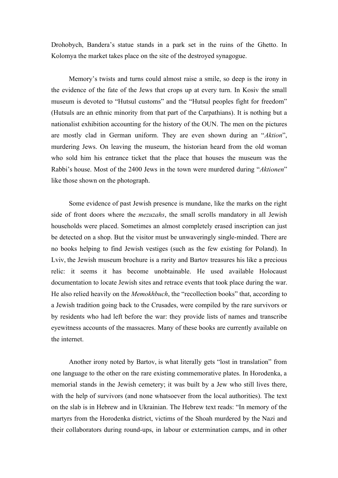Drohobych, Bandera's statue stands in a park set in the ruins of the Ghetto. In Kolomya the market takes place on the site of the destroyed synagogue.

Memory's twists and turns could almost raise a smile, so deep is the irony in the evidence of the fate of the Jews that crops up at every turn. In Kosiv the small museum is devoted to "Hutsul customs" and the "Hutsul peoples fight for freedom" (Hutsuls are an ethnic minority from that part of the Carpathians). It is nothing but a nationalist exhibition accounting for the history of the OUN. The men on the pictures are mostly clad in German uniform. They are even shown during an "*Aktion*", murdering Jews. On leaving the museum, the historian heard from the old woman who sold him his entrance ticket that the place that houses the museum was the Rabbi's house. Most of the 2400 Jews in the town were murdered during "*Aktionen*" like those shown on the photograph.

Some evidence of past Jewish presence is mundane, like the marks on the right side of front doors where the *mezuzahs*, the small scrolls mandatory in all Jewish households were placed. Sometimes an almost completely erased inscription can just be detected on a shop. But the visitor must be unwaveringly single-minded. There are no books helping to find Jewish vestiges (such as the few existing for Poland). In Lviv, the Jewish museum brochure is a rarity and Bartov treasures his like a precious relic: it seems it has become unobtainable. He used available Holocaust documentation to locate Jewish sites and retrace events that took place during the war. He also relied heavily on the *Memokhbuch*, the "recollection books" that, according to a Jewish tradition going back to the Crusades, were compiled by the rare survivors or by residents who had left before the war: they provide lists of names and transcribe eyewitness accounts of the massacres. Many of these books are currently available on the internet.

Another irony noted by Bartov, is what literally gets "lost in translation" from one language to the other on the rare existing commemorative plates. In Horodenka, a memorial stands in the Jewish cemetery; it was built by a Jew who still lives there, with the help of survivors (and none whatsoever from the local authorities). The text on the slab is in Hebrew and in Ukrainian. The Hebrew text reads: "In memory of the martyrs from the Horodenka district, victims of the Shoah murdered by the Nazi and their collaborators during round-ups, in labour or extermination camps, and in other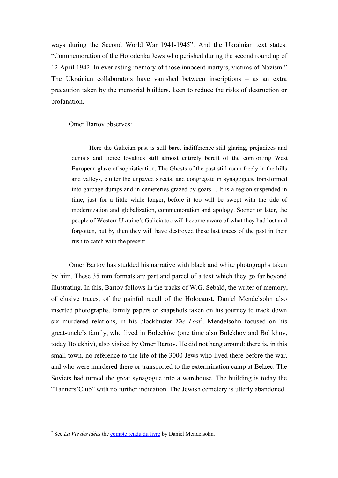ways during the Second World War 1941-1945". And the Ukrainian text states: "Commemoration of the Horodenka Jews who perished during the second round up of 12 April 1942. In everlasting memory of those innocent martyrs, victims of Nazism." The Ukrainian collaborators have vanished between inscriptions – as an extra precaution taken by the memorial builders, keen to reduce the risks of destruction or profanation.

#### Omer Bartov observes:

Here the Galician past is still bare, indifference still glaring, prejudices and denials and fierce loyalties still almost entirely bereft of the comforting West European glaze of sophistication. The Ghosts of the past still roam freely in the hills and valleys, clutter the unpaved streets, and congregate in synagogues, transformed into garbage dumps and in cemeteries grazed by goats… It is a region suspended in time, just for a little while longer, before it too will be swept with the tide of modernization and globalization, commemoration and apology. Sooner or later, the people of Western Ukraine's Galicia too will become aware of what they had lost and forgotten, but by then they will have destroyed these last traces of the past in their rush to catch with the present…

Omer Bartov has studded his narrative with black and white photographs taken by him. These 35 mm formats are part and parcel of a text which they go far beyond illustrating. In this, Bartov follows in the tracks of W.G. Sebald, the writer of memory, of elusive traces, of the painful recall of the Holocaust. Daniel Mendelsohn also inserted photographs, family papers or snapshots taken on his journey to track down six murdered relations, in his blockbuster *The Lost*[7](#page-8-0) . Mendelsohn focused on his great-uncle's family, who lived in Bolechòw (one time also Bolekhov and Bolikhov, today Bolekhiv), also visited by Omer Bartov. He did not hang around: there is, in this small town, no reference to the life of the 3000 Jews who lived there before the war, and who were murdered there or transported to the extermination camp at Belzec. The Soviets had turned the great synagogue into a warehouse. The building is today the "Tanners'Club" with no further indication. The Jewish cemetery is utterly abandoned.

<span id="page-8-0"></span><sup>&</sup>lt;sup>7</sup> See *La Vie des idées* the **compte rendu du livre** by Daniel Mendelsohn.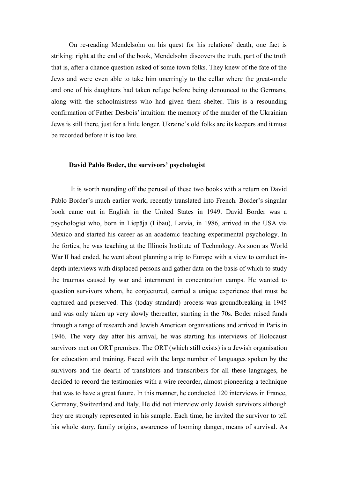On re-reading Mendelsohn on his quest for his relations' death, one fact is striking: right at the end of the book, Mendelsohn discovers the truth, part of the truth that is, after a chance question asked of some town folks. They knew of the fate of the Jews and were even able to take him unerringly to the cellar where the great-uncle and one of his daughters had taken refuge before being denounced to the Germans, along with the schoolmistress who had given them shelter. This is a resounding confirmation of Father Desbois' intuition: the memory of the murder of the Ukrainian Jews is still there, just for a little longer. Ukraine's old folks are its keepers and it must be recorded before it is too late.

### **David Pablo Boder, the survivors' psychologist**

It is worth rounding off the perusal of these two books with a return on David Pablo Border's much earlier work, recently translated into French. Border's singular book came out in English in the United States in 1949. David Border was a psychologist who, born in Liepāja (Libau), Latvia, in 1986, arrived in the USA via Mexico and started his career as an academic teaching experimental psychology. In the forties, he was teaching at the Illinois Institute of Technology. As soon as World War II had ended, he went about planning a trip to Europe with a view to conduct indepth interviews with displaced persons and gather data on the basis of which to study the traumas caused by war and internment in concentration camps. He wanted to question survivors whom, he conjectured, carried a unique experience that must be captured and preserved. This (today standard) process was groundbreaking in 1945 and was only taken up very slowly thereafter, starting in the 70s. Boder raised funds through a range of research and Jewish American organisations and arrived in Paris in 1946. The very day after his arrival, he was starting his interviews of Holocaust survivors met on ORT premises. The ORT (which still exists) is a Jewish organisation for education and training. Faced with the large number of languages spoken by the survivors and the dearth of translators and transcribers for all these languages, he decided to record the testimonies with a wire recorder, almost pioneering a technique that was to have a great future. In this manner, he conducted 120 interviews in France, Germany, Switzerland and Italy. He did not interview only Jewish survivors although they are strongly represented in his sample. Each time, he invited the survivor to tell his whole story, family origins, awareness of looming danger, means of survival. As